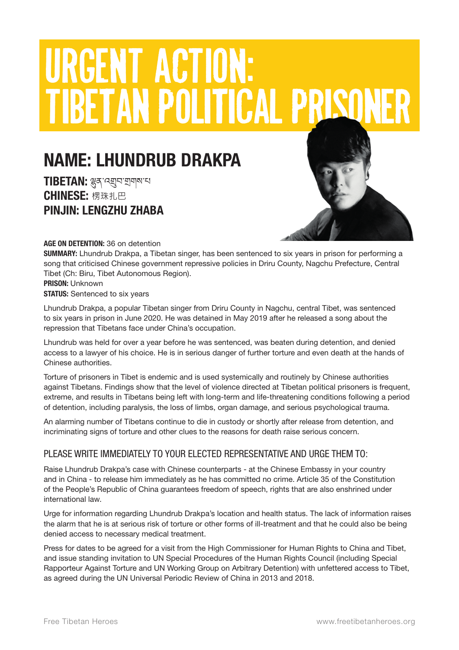# URGENT ACTION: **TIBETAN POLITICAL PRISO**

## NAME: LHUNDRUB DRAKPA

TIBETAN: ৣ<sub>२</sub>, २ अञ्चल स्थान CHINESE: 楞珠扎巴 PINJIN: LENGZHU ZHABA



AGE ON DETENTION: 36 on detention

SUMMARY: Lhundrub Drakpa, a Tibetan singer, has been sentenced to six years in prison for performing a song that criticised Chinese government repressive policies in Driru County, Nagchu Prefecture, Central Tibet (Ch: Biru, Tibet Autonomous Region).

#### PRISON: Unknown **STATUS: Sentenced to six years**

Lhundrub Drakpa, a popular Tibetan singer from Driru County in Nagchu, central Tibet, was sentenced to six years in prison in June 2020. He was detained in May 2019 after he released a song about the repression that Tibetans face under China's occupation.

Lhundrub was held for over a year before he was sentenced, was beaten during detention, and denied access to a lawyer of his choice. He is in serious danger of further torture and even death at the hands of Chinese authorities.

Torture of prisoners in Tibet is endemic and is used systemically and routinely by Chinese authorities against Tibetans. Findings show that the level of violence directed at Tibetan political prisoners is frequent, extreme, and results in Tibetans being left with long-term and life-threatening conditions following a period of detention, including paralysis, the loss of limbs, organ damage, and serious psychological trauma.

An alarming number of Tibetans continue to die in custody or shortly after release from detention, and incriminating signs of torture and other clues to the reasons for death raise serious concern.

#### PLEASE WRITE IMMEDIATELY TO YOUR ELECTED REPRESENTATIVE AND URGE THEM TO:

Raise Lhundrub Drakpa's case with Chinese counterparts - at the Chinese Embassy in your country and in China - to release him immediately as he has committed no crime. Article 35 of the Constitution of the People's Republic of China guarantees freedom of speech, rights that are also enshrined under international law.

Urge for information regarding Lhundrub Drakpa's location and health status. The lack of information raises the alarm that he is at serious risk of torture or other forms of ill-treatment and that he could also be being denied access to necessary medical treatment.

Press for dates to be agreed for a visit from the High Commissioner for Human Rights to China and Tibet, and issue standing invitation to UN Special Procedures of the Human Rights Council (including Special Rapporteur Against Torture and UN Working Group on Arbitrary Detention) with unfettered access to Tibet, as agreed during the UN Universal Periodic Review of China in 2013 and 2018.